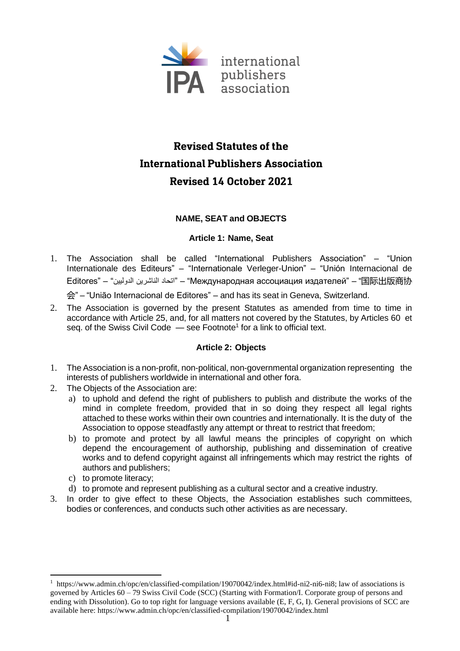

# **Revised Statutes of the International Publishers Association Revised 14 October 2021**

# **NAME, SEAT and OBJECTS**

# **Article 1: Name, Seat**

1. The Association shall be called "International Publishers Association" – "Union Internationale des Editeurs" – "Internationale Verleger-Union" – "Unión Internacional de Editores" – "الدوليين الناشرين اتحاد" – "Международная ассоциация издателей" – "国际出版商协

会" – "União Internacional de Editores" – and has its seat in Geneva, Switzerland.

2. The Association is governed by the present Statutes as amended from time to time in accordance with Article 25, and, for all matters not covered by the Statutes, by Articles 60 et seq. of the Swiss Civil Code  $-$  see Footnote<sup>1</sup> for a link to official text.

# **Article 2: Objects**

- 1. The Association is a non-profit, non-political, non-governmental organization representing the interests of publishers worldwide in international and other fora.
- 2. The Objects of the Association are:
	- a) to uphold and defend the right of publishers to publish and distribute the works of the mind in complete freedom, provided that in so doing they respect all legal rights attached to these works within their own countries and internationally. It is the duty of the Association to oppose steadfastly any attempt or threat to restrict that freedom;
	- b) to promote and protect by all lawful means the principles of copyright on which depend the encouragement of authorship, publishing and dissemination of creative works and to defend copyright against all infringements which may restrict the rights of authors and publishers;
	- c) to promote literacy;
	- d) to promote and represent publishing as a cultural sector and a creative industry.
- 3. In order to give effect to these Objects, the Association establishes such committees, bodies or conferences, and conducts such other activities as are necessary.

<sup>&</sup>lt;sup>1</sup> https://www.admin.ch/opc/en/classified-compilation/19070042/index.html#id-ni2-ni6-ni8; law of associations is governed by Articles 60 – 79 Swiss Civil Code (SCC) (Starting with Formation/I. Corporate group of persons and ending with Dissolution). Go to top right for language versions available (E, F, G, I). General provisions of SCC are available here: https://www.admin.ch/opc/en/classified-compilation/19070042/index.html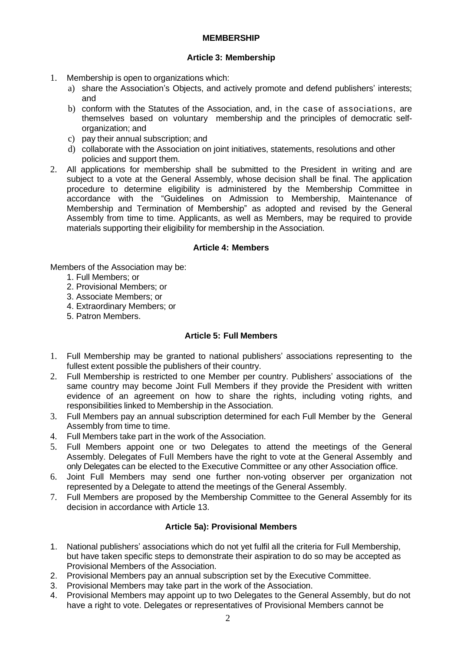# **MEMBERSHIP**

# **Article 3: Membership**

- 1. Membership is open to organizations which:
	- a) share the Association's Objects, and actively promote and defend publishers' interests; and
	- b) conform with the Statutes of the Association, and, in the case of associations, are themselves based on voluntary membership and the principles of democratic selforganization; and
	- c) pay their annual subscription; and
	- d) collaborate with the Association on joint initiatives, statements, resolutions and other policies and support them.
- 2. All applications for membership shall be submitted to the President in writing and are subject to a vote at the General Assembly, whose decision shall be final. The application procedure to determine eligibility is administered by the Membership Committee in accordance with the "Guidelines on Admission to Membership, Maintenance of Membership and Termination of Membership" as adopted and revised by the General Assembly from time to time. Applicants, as well as Members, may be required to provide materials supporting their eligibility for membership in the Association.

# **Article 4: Members**

Members of the Association may be:

- 1. Full Members; or
- 2. Provisional Members; or
- 3. Associate Members; or
- 4. Extraordinary Members; or
- 5. Patron Members.

# **Article 5: Full Members**

- 1. Full Membership may be granted to national publishers' associations representing to the fullest extent possible the publishers of their country.
- 2. Full Membership is restricted to one Member per country. Publishers' associations of the same country may become Joint Full Members if they provide the President with written evidence of an agreement on how to share the rights, including voting rights, and responsibilities linked to Membership in the Association.
- 3. Full Members pay an annual subscription determined for each Full Member by the General Assembly from time to time.
- 4. Full Members take part in the work of the Association.
- 5. Full Members appoint one or two Delegates to attend the meetings of the General Assembly. Delegates of Full Members have the right to vote at the General Assembly and only Delegates can be elected to the Executive Committee or any other Association office.
- 6. Joint Full Members may send one further non-voting observer per organization not represented by a Delegate to attend the meetings of the General Assembly.
- 7. Full Members are proposed by the Membership Committee to the General Assembly for its decision in accordance with Article 13.

# **Article 5a): Provisional Members**

- 1. National publishers' associations which do not yet fulfil all the criteria for Full Membership, but have taken specific steps to demonstrate their aspiration to do so may be accepted as Provisional Members of the Association.
- 2. Provisional Members pay an annual subscription set by the Executive Committee.
- 3. Provisional Members may take part in the work of the Association.
- 4. Provisional Members may appoint up to two Delegates to the General Assembly, but do not have a right to vote. Delegates or representatives of Provisional Members cannot be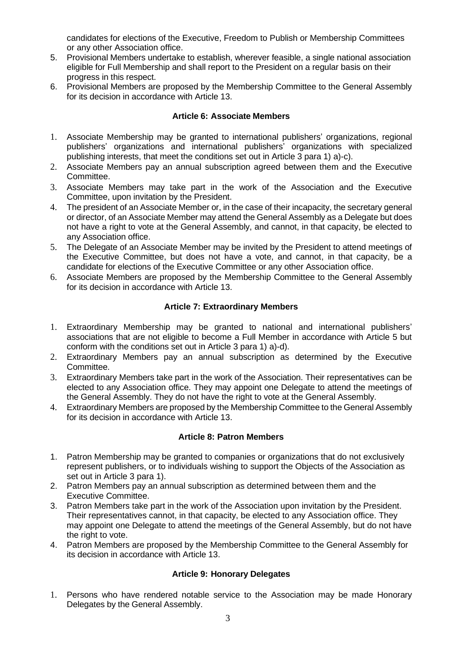candidates for elections of the Executive, Freedom to Publish or Membership Committees or any other Association office.

- 5. Provisional Members undertake to establish, wherever feasible, a single national association eligible for Full Membership and shall report to the President on a regular basis on their progress in this respect.
- 6. Provisional Members are proposed by the Membership Committee to the General Assembly for its decision in accordance with Article 13.

# **Article 6: Associate Members**

- 1. Associate Membership may be granted to international publishers' organizations, regional publishers' organizations and international publishers' organizations with specialized publishing interests, that meet the conditions set out in Article 3 para 1) a)-c).
- 2. Associate Members pay an annual subscription agreed between them and the Executive Committee.
- 3. Associate Members may take part in the work of the Association and the Executive Committee, upon invitation by the President.
- 4. The president of an Associate Member or, in the case of their incapacity, the secretary general or director, of an Associate Member may attend the General Assembly as a Delegate but does not have a right to vote at the General Assembly, and cannot, in that capacity, be elected to any Association office.
- 5. The Delegate of an Associate Member may be invited by the President to attend meetings of the Executive Committee, but does not have a vote, and cannot, in that capacity, be a candidate for elections of the Executive Committee or any other Association office.
- 6. Associate Members are proposed by the Membership Committee to the General Assembly for its decision in accordance with Article 13.

# **Article 7: Extraordinary Members**

- 1. Extraordinary Membership may be granted to national and international publishers' associations that are not eligible to become a Full Member in accordance with Article 5 but conform with the conditions set out in Article 3 para 1) a)-d).
- 2. Extraordinary Members pay an annual subscription as determined by the Executive Committee.
- 3. Extraordinary Members take part in the work of the Association. Their representatives can be elected to any Association office. They may appoint one Delegate to attend the meetings of the General Assembly. They do not have the right to vote at the General Assembly.
- 4. Extraordinary Members are proposed by the Membership Committee to the General Assembly for its decision in accordance with Article 13.

# **Article 8: Patron Members**

- 1. Patron Membership may be granted to companies or organizations that do not exclusively represent publishers, or to individuals wishing to support the Objects of the Association as set out in Article 3 para 1).
- 2. Patron Members pay an annual subscription as determined between them and the Executive Committee.
- 3. Patron Members take part in the work of the Association upon invitation by the President. Their representatives cannot, in that capacity, be elected to any Association office. They may appoint one Delegate to attend the meetings of the General Assembly, but do not have the right to vote.
- 4. Patron Members are proposed by the Membership Committee to the General Assembly for its decision in accordance with Article 13.

# **Article 9: Honorary Delegates**

1. Persons who have rendered notable service to the Association may be made Honorary Delegates by the General Assembly.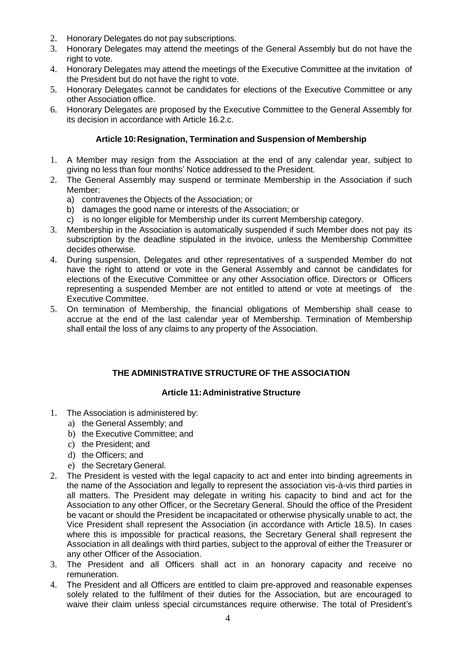- 2. Honorary Delegates do not pay subscriptions.
- 3. Honorary Delegates may attend the meetings of the General Assembly but do not have the right to vote.
- 4. Honorary Delegates may attend the meetings of the Executive Committee at the invitation of the President but do not have the right to vote.
- 5. Honorary Delegates cannot be candidates for elections of the Executive Committee or any other Association office.
- 6. Honorary Delegates are proposed by the Executive Committee to the General Assembly for its decision in accordance with Article 16.2.c.

# **Article 10:Resignation, Termination and Suspension of Membership**

- 1. A Member may resign from the Association at the end of any calendar year, subject to giving no less than four months' Notice addressed to the President.
- 2. The General Assembly may suspend or terminate Membership in the Association if such Member:
	- a) contravenes the Objects of the Association; or
	- b) damages the good name or interests of the Association; or
	- c) is no longer eligible for Membership under its current Membership category.
- 3. Membership in the Association is automatically suspended if such Member does not pay its subscription by the deadline stipulated in the invoice, unless the Membership Committee decides otherwise.
- 4. During suspension, Delegates and other representatives of a suspended Member do not have the right to attend or vote in the General Assembly and cannot be candidates for elections of the Executive Committee or any other Association office. Directors or Officers representing a suspended Member are not entitled to attend or vote at meetings of the Executive Committee.
- 5. On termination of Membership, the financial obligations of Membership shall cease to accrue at the end of the last calendar year of Membership. Termination of Membership shall entail the loss of any claims to any property of the Association.

# **THE ADMINISTRATIVE STRUCTURE OF THE ASSOCIATION**

# **Article 11:Administrative Structure**

- 1. The Association is administered by:
	- a) the General Assembly; and
	- b) the Executive Committee; and
	- c) the President; and
	- d) the Officers; and
	- e) the Secretary General.
- 2. The President is vested with the legal capacity to act and enter into binding agreements in the name of the Association and legally to represent the association vis-à-vis third parties in all matters. The President may delegate in writing his capacity to bind and act for the Association to any other Officer, or the Secretary General. Should the office of the President be vacant or should the President be incapacitated or otherwise physically unable to act, the Vice President shall represent the Association (in accordance with Article 18.5). In cases where this is impossible for practical reasons, the Secretary General shall represent the Association in all dealings with third parties, subject to the approval of either the Treasurer or any other Officer of the Association.
- 3. The President and all Officers shall act in an honorary capacity and receive no remuneration.
- 4. The President and all Officers are entitled to claim pre-approved and reasonable expenses solely related to the fulfilment of their duties for the Association, but are encouraged to waive their claim unless special circumstances require otherwise. The total of President's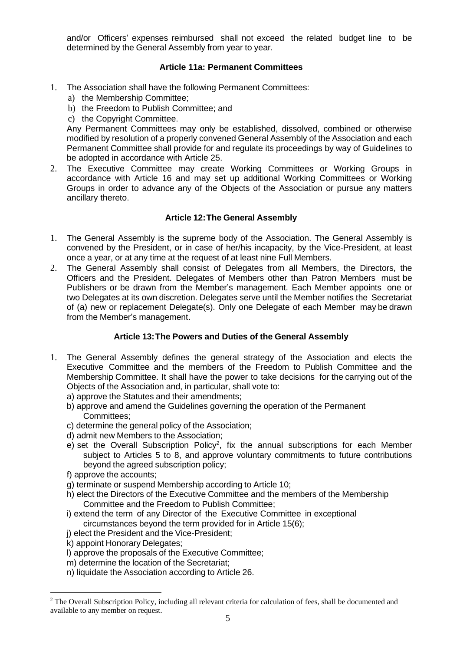and/or Officers' expenses reimbursed shall not exceed the related budget line to be determined by the General Assembly from year to year.

# **Article 11a: Permanent Committees**

- 1. The Association shall have the following Permanent Committees:
	- a) the Membership Committee;
	- b) the Freedom to Publish Committee; and
	- c) the Copyright Committee.

Any Permanent Committees may only be established, dissolved, combined or otherwise modified by resolution of a properly convened General Assembly of the Association and each Permanent Committee shall provide for and regulate its proceedings by way of Guidelines to be adopted in accordance with Article 25.

2. The Executive Committee may create Working Committees or Working Groups in accordance with Article 16 and may set up additional Working Committees or Working Groups in order to advance any of the Objects of the Association or pursue any matters ancillary thereto.

# **Article 12:The General Assembly**

- 1. The General Assembly is the supreme body of the Association. The General Assembly is convened by the President, or in case of her/his incapacity, by the Vice-President, at least once a year, or at any time at the request of at least nine Full Members.
- 2. The General Assembly shall consist of Delegates from all Members, the Directors, the Officers and the President. Delegates of Members other than Patron Members must be Publishers or be drawn from the Member's management. Each Member appoints one or two Delegates at its own discretion. Delegates serve until the Member notifies the Secretariat of (a) new or replacement Delegate(s). Only one Delegate of each Member may be drawn from the Member's management.

# **Article 13:The Powers and Duties of the General Assembly**

- 1. The General Assembly defines the general strategy of the Association and elects the Executive Committee and the members of the Freedom to Publish Committee and the Membership Committee. It shall have the power to take decisions for the carrying out of the Objects of the Association and, in particular, shall vote to:
	- a) approve the Statutes and their amendments;
	- b) approve and amend the Guidelines governing the operation of the Permanent Committees;
	- c) determine the general policy of the Association;
	- d) admit new Members to the Association;
	- e) set the Overall Subscription Policy<sup>2</sup>, fix the annual subscriptions for each Member subject to Articles 5 to 8, and approve voluntary commitments to future contributions beyond the agreed subscription policy;
	- f) approve the accounts;
	- g) terminate or suspend Membership according to Article 10;
	- h) elect the Directors of the Executive Committee and the members of the Membership Committee and the Freedom to Publish Committee;
	- i) extend the term of any Director of the Executive Committee in exceptional circumstances beyond the term provided for in Article 15(6);
	- j) elect the President and the Vice-President;
	- k) appoint Honorary Delegates;
	- l) approve the proposals of the Executive Committee;
	- m) determine the location of the Secretariat;
	- n) liquidate the Association according to Article 26.

<sup>2</sup> The Overall Subscription Policy, including all relevant criteria for calculation of fees, shall be documented and available to any member on request.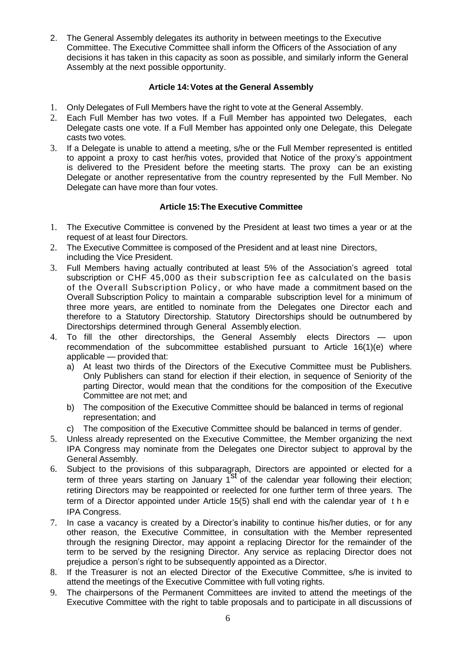2. The General Assembly delegates its authority in between meetings to the Executive Committee. The Executive Committee shall inform the Officers of the Association of any decisions it has taken in this capacity as soon as possible, and similarly inform the General Assembly at the next possible opportunity.

# **Article 14:Votes at the General Assembly**

- 1. Only Delegates of Full Members have the right to vote at the General Assembly.
- 2. Each Full Member has two votes. If a Full Member has appointed two Delegates, each Delegate casts one vote. If a Full Member has appointed only one Delegate, this Delegate casts two votes.
- 3. If a Delegate is unable to attend a meeting, s/he or the Full Member represented is entitled to appoint a proxy to cast her/his votes, provided that Notice of the proxy's appointment is delivered to the President before the meeting starts. The proxy can be an existing Delegate or another representative from the country represented by the Full Member. No Delegate can have more than four votes.

# **Article 15:The Executive Committee**

- 1. The Executive Committee is convened by the President at least two times a year or at the request of at least four Directors.
- 2. The Executive Committee is composed of the President and at least nine Directors, including the Vice President.
- 3. Full Members having actually contributed at least 5% of the Association's agreed total subscription or CHF 45,000 as their subscription fee as calculated on the basis of the Overall Subscription Policy , or who have made a commitment based on the Overall Subscription Policy to maintain a comparable subscription level for a minimum of three more years, are entitled to nominate from the Delegates one Director each and therefore to a Statutory Directorship. Statutory Directorships should be outnumbered by Directorships determined through General Assembly election.
- 4. To fill the other directorships, the General Assembly elects Directors upon recommendation of the subcommittee established pursuant to Article 16(1)(e) where applicable — provided that:
	- a) At least two thirds of the Directors of the Executive Committee must be Publishers. Only Publishers can stand for election if their election, in sequence of Seniority of the parting Director, would mean that the conditions for the composition of the Executive Committee are not met; and
	- b) The composition of the Executive Committee should be balanced in terms of regional representation; and
	- c) The composition of the Executive Committee should be balanced in terms of gender.
- 5. Unless already represented on the Executive Committee, the Member organizing the next IPA Congress may nominate from the Delegates one Director subject to approval by the General Assembly.
- 6. Subject to the provisions of this subparagraph, Directors are appointed or elected for a Early control three years starting on January 1<sup>St</sup> of the calendar year following their election; retiring Directors may be reappointed or reelected for one further term of three years. The term of a Director appointed under Article 15(5) shall end with the calendar year of the IPA Congress.
- 7. In case a vacancy is created by a Director's inability to continue his/her duties, or for any other reason, the Executive Committee, in consultation with the Member represented through the resigning Director, may appoint a replacing Director for the remainder of the term to be served by the resigning Director. Any service as replacing Director does not prejudice a person's right to be subsequently appointed as a Director.
- 8. If the Treasurer is not an elected Director of the Executive Committee, s/he is invited to attend the meetings of the Executive Committee with full voting rights.
- 9. The chairpersons of the Permanent Committees are invited to attend the meetings of the Executive Committee with the right to table proposals and to participate in all discussions of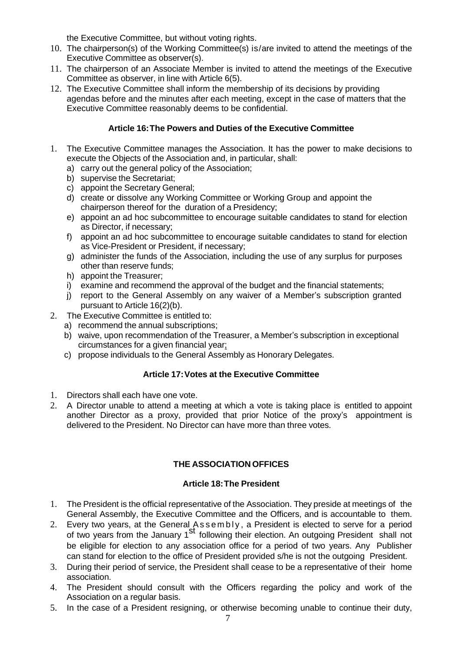the Executive Committee, but without voting rights.

- 10. The chairperson(s) of the Working Committee(s) is/are invited to attend the meetings of the Executive Committee as observer(s).
- 11. The chairperson of an Associate Member is invited to attend the meetings of the Executive Committee as observer, in line with Article 6(5).
- 12. The Executive Committee shall inform the membership of its decisions by providing agendas before and the minutes after each meeting, except in the case of matters that the Executive Committee reasonably deems to be confidential.

# **Article 16:The Powers and Duties of the Executive Committee**

- 1. The Executive Committee manages the Association. It has the power to make decisions to execute the Objects of the Association and, in particular, shall:
	- a) carry out the general policy of the Association;
	- b) supervise the Secretariat;
	- c) appoint the Secretary General;
	- d) create or dissolve any Working Committee or Working Group and appoint the chairperson thereof for the duration of a Presidency;
	- e) appoint an ad hoc subcommittee to encourage suitable candidates to stand for election as Director, if necessary;
	- f) appoint an ad hoc subcommittee to encourage suitable candidates to stand for election as Vice-President or President, if necessary;
	- g) administer the funds of the Association, including the use of any surplus for purposes other than reserve funds;
	- h) appoint the Treasurer;
	- i) examine and recommend the approval of the budget and the financial statements;
	- j) report to the General Assembly on any waiver of a Member's subscription granted pursuant to Article 16(2)(b).
- 2. The Executive Committee is entitled to:
	- a) recommend the annual subscriptions;
	- b) waive, upon recommendation of the Treasurer, a Member's subscription in exceptional circumstances for a given financial year;
	- c) propose individuals to the General Assembly as Honorary Delegates.

# **Article 17:Votes at the Executive Committee**

- 1. Directors shall each have one vote.
- 2. A Director unable to attend a meeting at which a vote is taking place is entitled to appoint another Director as a proxy, provided that prior Notice of the proxy's appointment is delivered to the President. No Director can have more than three votes.

# **THE ASSOCIATION OFFICES**

# **Article 18:The President**

- 1. The President is the official representative of the Association. They preside at meetings of the General Assembly, the Executive Committee and the Officers, and is accountable to them.
- 2. Every two years, at the General Assembly, a President is elected to serve for a period Every the years, at the condition of the symbols of two years from the January 1<sup>st</sup> following their election. An outgoing President shall not be eligible for election to any association office for a period of two years. Any Publisher can stand for election to the office of President provided s/he is not the outgoing President.
- 3. During their period of service, the President shall cease to be a representative of their home association.
- 4. The President should consult with the Officers regarding the policy and work of the Association on a regular basis.
- 5. In the case of a President resigning, or otherwise becoming unable to continue their duty,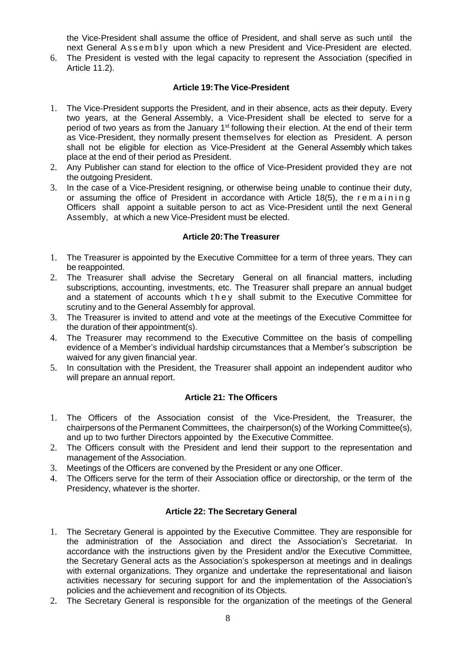the Vice-President shall assume the office of President, and shall serve as such until the next General Assembly upon which a new President and Vice-President are elected.

6. The President is vested with the legal capacity to represent the Association (specified in Article 11.2).

# **Article 19:The Vice-President**

- 1. The Vice-President supports the President, and in their absence, acts as their deputy. Every two years, at the General Assembly, a Vice-President shall be elected to serve for a period of two years as from the January 1<sup>st</sup> following their election. At the end of their term as Vice-President, they normally present themselves for election as President. A person shall not be eligible for election as Vice-President at the General Assembly which takes place at the end of their period as President.
- 2. Any Publisher can stand for election to the office of Vice-President provided they are not the outgoing President.
- 3. In the case of a Vice-President resigning, or otherwise being unable to continue their duty, or assuming the office of President in accordance with Article 18 $(5)$ , the remaining Officers shall appoint a suitable person to act as Vice-President until the next General Assembly, at which a new Vice-President must be elected.

# **Article 20:The Treasurer**

- 1. The Treasurer is appointed by the Executive Committee for a term of three years. They can be reappointed.
- 2. The Treasurer shall advise the Secretary General on all financial matters, including subscriptions, accounting, investments, etc. The Treasurer shall prepare an annual budget and a statement of accounts which they shall submit to the Executive Committee for scrutiny and to the General Assembly for approval.
- 3. The Treasurer is invited to attend and vote at the meetings of the Executive Committee for the duration of their appointment(s).
- 4. The Treasurer may recommend to the Executive Committee on the basis of compelling evidence of a Member's individual hardship circumstances that a Member's subscription be waived for any given financial year.
- 5. In consultation with the President, the Treasurer shall appoint an independent auditor who will prepare an annual report.

# **Article 21: The Officers**

- 1. The Officers of the Association consist of the Vice-President, the Treasurer, the chairpersons of the Permanent Committees, the chairperson(s) of the Working Committee(s), and up to two further Directors appointed by the Executive Committee.
- 2. The Officers consult with the President and lend their support to the representation and management of the Association.
- 3. Meetings of the Officers are convened by the President or any one Officer.
- 4. The Officers serve for the term of their Association office or directorship, or the term of the Presidency, whatever is the shorter.

# **Article 22: The Secretary General**

- 1. The Secretary General is appointed by the Executive Committee. They are responsible for the administration of the Association and direct the Association's Secretariat. In accordance with the instructions given by the President and/or the Executive Committee, the Secretary General acts as the Association's spokesperson at meetings and in dealings with external organizations. They organize and undertake the representational and liaison activities necessary for securing support for and the implementation of the Association's policies and the achievement and recognition of its Objects.
- 2. The Secretary General is responsible for the organization of the meetings of the General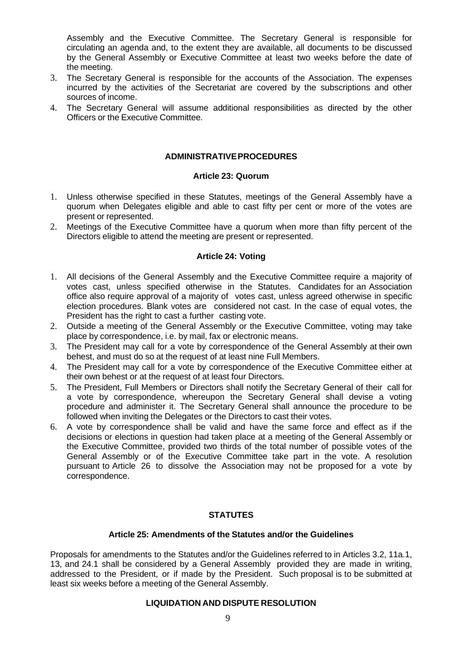Assembly and the Executive Committee. The Secretary General is responsible for circulating an agenda and, to the extent they are available, all documents to be discussed by the General Assembly or Executive Committee at least two weeks before the date of the meeting.

- 3. The Secretary General is responsible for the accounts of the Association. The expenses incurred by the activities of the Secretariat are covered by the subscriptions and other sources of income.
- 4. The Secretary General will assume additional responsibilities as directed by the other Officers or the Executive Committee.

### **ADMINISTRATIVEPROCEDURES**

#### **Article 23: Quorum**

- 1. Unless otherwise specified in these Statutes, meetings of the General Assembly have a quorum when Delegates eligible and able to cast fifty per cent or more of the votes are present or represented.
- 2. Meetings of the Executive Committee have a quorum when more than fifty percent of the Directors eligible to attend the meeting are present or represented.

#### **Article 24: Voting**

- 1. All decisions of the General Assembly and the Executive Committee require a majority of votes cast, unless specified otherwise in the Statutes. Candidates for an Association office also require approval of a majority of votes cast, unless agreed otherwise in specific election procedures. Blank votes are considered not cast. In the case of equal votes, the President has the right to cast a further casting vote.
- 2. Outside a meeting of the General Assembly or the Executive Committee, voting may take place by correspondence, i.e. by mail, fax or electronic means.
- 3. The President may call for a vote by correspondence of the General Assembly at their own behest, and must do so at the request of at least nine Full Members.
- 4. The President may call for a vote by correspondence of the Executive Committee either at their own behest or at the request of at least four Directors.
- 5. The President, Full Members or Directors shall notify the Secretary General of their call for a vote by correspondence, whereupon the Secretary General shall devise a voting procedure and administer it. The Secretary General shall announce the procedure to be followed when inviting the Delegates or the Directors to cast their votes.
- 6. A vote by correspondence shall be valid and have the same force and effect as if the decisions or elections in question had taken place at a meeting of the General Assembly or the Executive Committee, provided two thirds of the total number of possible votes of the General Assembly or of the Executive Committee take part in the vote. A resolution pursuant to Article 26 to dissolve the Association may not be proposed for a vote by correspondence.

# **STATUTES**

#### **Article 25: Amendments of the Statutes and/or the Guidelines**

Proposals for amendments to the Statutes and/or the Guidelines referred to in Articles 3.2, 11a.1, 13, and 24.1 shall be considered by a General Assembly provided they are made in writing, addressed to the President, or if made by the President. Such proposal is to be submitted at least six weeks before a meeting of the General Assembly.

#### **LIQUIDATION AND DISPUTE RESOLUTION**